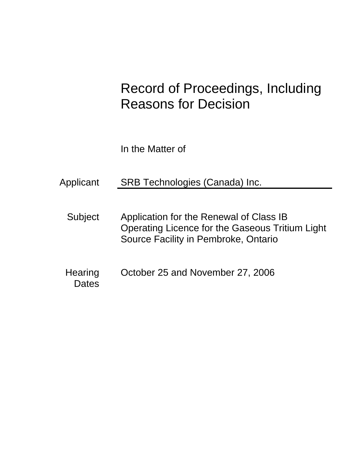# Record of Proceedings, Including Reasons for Decision

In the Matter of

Applicant SRB Technologies (Canada) Inc.

- Subject Application for the Renewal of Class IB Operating Licence for the Gaseous Tritium Light Source Facility in Pembroke, Ontario
- Hearing October 25 and November 27, 2006 **Dates**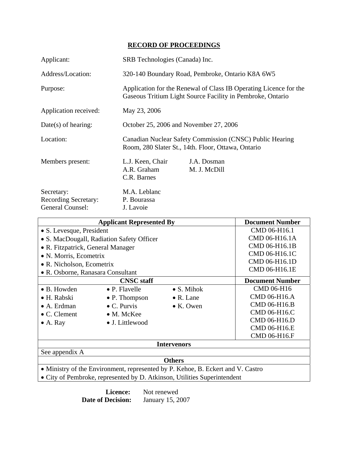# **RECORD OF PROCEEDINGS**

| Applicant:                                                    | SRB Technologies (Canada) Inc.                                                                                                  |                             |
|---------------------------------------------------------------|---------------------------------------------------------------------------------------------------------------------------------|-----------------------------|
| Address/Location:                                             | 320-140 Boundary Road, Pembroke, Ontario K8A 6W5                                                                                |                             |
| Purpose:                                                      | Application for the Renewal of Class IB Operating Licence for the<br>Gaseous Tritium Light Source Facility in Pembroke, Ontario |                             |
| Application received:                                         | May 23, 2006                                                                                                                    |                             |
| $Date(s)$ of hearing:                                         | October 25, 2006 and November 27, 2006                                                                                          |                             |
| Location:                                                     | Canadian Nuclear Safety Commission (CNSC) Public Hearing<br>Room, 280 Slater St., 14th. Floor, Ottawa, Ontario                  |                             |
| Members present:                                              | L.J. Keen, Chair<br>A.R. Graham<br>C.R. Barnes                                                                                  | J.A. Dosman<br>M. J. McDill |
| Secretary:<br><b>Recording Secretary:</b><br>General Counsel: | M.A. Leblanc<br>P. Bourassa<br>J. Lavoie                                                                                        |                             |

| <b>Applicant Represented By</b>                                                 |                         | <b>Document Number</b> |                        |  |
|---------------------------------------------------------------------------------|-------------------------|------------------------|------------------------|--|
| • S. Levesque, President                                                        |                         | CMD 06-H16.1           |                        |  |
| • S. MacDougall, Radiation Safety Officer                                       |                         | CMD 06-H16.1A          |                        |  |
| • R. Fitzpatrick, General Manager                                               |                         |                        | CMD 06-H16.1B          |  |
| • N. Morris, Ecometrix                                                          |                         | CMD 06-H16.1C          |                        |  |
| • R. Nicholson, Ecometrix                                                       |                         |                        | CMD 06-H16.1D          |  |
| • R. Osborne, Ranasara Consultant                                               |                         | CMD 06-H16.1E          |                        |  |
|                                                                                 | <b>CNSC</b> staff       |                        | <b>Document Number</b> |  |
| $\bullet$ B. Howden                                                             | $\bullet$ P. Flavelle   | $\bullet$ S. Mihok     | CMD 06-H16             |  |
| • H. Rabski                                                                     | $\bullet$ P. Thompson   | $\bullet$ R. Lane      | CMD 06-H16.A           |  |
| $\bullet$ A. Erdman                                                             | $\bullet$ C. Purvis     | $\bullet$ K. Owen      | CMD 06-H16.B           |  |
| $\bullet$ C. Clement                                                            | $\bullet$ M. McKee      |                        | CMD 06-H16.C           |  |
| $\bullet$ A. Ray                                                                | $\bullet$ J. Littlewood |                        | CMD 06-H16.D           |  |
|                                                                                 |                         |                        | CMD 06-H16.E           |  |
|                                                                                 |                         |                        | CMD 06-H16.F           |  |
| <b>Intervenors</b>                                                              |                         |                        |                        |  |
| See appendix A                                                                  |                         |                        |                        |  |
| <b>Others</b>                                                                   |                         |                        |                        |  |
| • Ministry of the Environment, represented by P. Kehoe, B. Eckert and V. Castro |                         |                        |                        |  |
| • City of Pembroke, represented by D. Atkinson, Utilities Superintendent        |                         |                        |                        |  |

**Licence:** Not renewed<br>**Decision:** January 15, 2007 **Date of Decision:**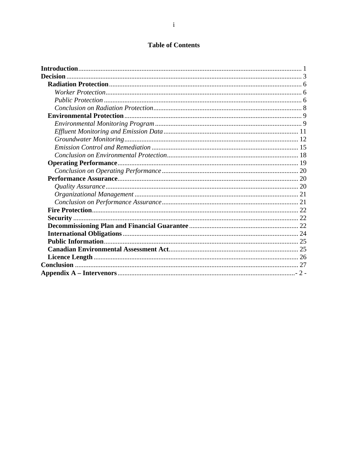# **Table of Contents**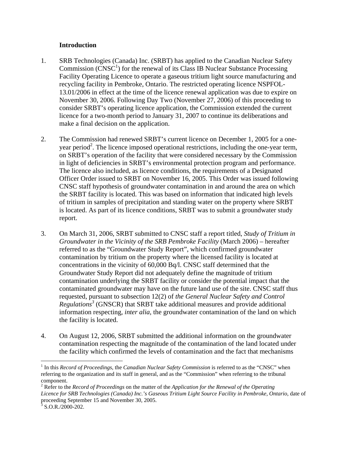#### **Introduction**

- 1. SRB Technologies (Canada) Inc. (SRBT) has applied to the Canadian Nuclear Safety Commission  $(CNSC<sup>1</sup>)$  for the renewal of its Class IB Nuclear Substance Processing Facility Operating Licence to operate a gaseous tritium light source manufacturing and recycling facility in Pembroke, Ontario. The restricted operating licence NSPFOL-13.01/2006 in effect at the time of the licence renewal application was due to expire on November 30, 2006. Following Day Two (November 27, 2006) of this proceeding to consider SRBT's operating licence application, the Commission extended the current licence for a two-month period to January 31, 2007 to continue its deliberations and make a final decision on the application.
- 2. The Commission had renewed SRBT's current licence on December 1, 2005 for a oneyear period<sup>2</sup>. The licence imposed operational restrictions, including the one-year term, on SRBT's operation of the facility that were considered necessary by the Commission in light of deficiencies in SRBT's environmental protection program and performance. The licence also included, as licence conditions, the requirements of a Designated Officer Order issued to SRBT on November 16, 2005. This Order was issued following CNSC staff hypothesis of groundwater contamination in and around the area on which the SRBT facility is located. This was based on information that indicated high levels of tritium in samples of precipitation and standing water on the property where SRBT is located. As part of its licence conditions, SRBT was to submit a groundwater study report.
- 3. On March 31, 2006, SRBT submitted to CNSC staff a report titled, *Study of Tritium in Groundwater in the Vicinity of the SRB Pembroke Facility* (March 2006) – hereafter referred to as the "Groundwater Study Report", which confirmed groundwater contamination by tritium on the property where the licensed facility is located at concentrations in the vicinity of 60,000 Bq/l. CNSC staff determined that the Groundwater Study Report did not adequately define the magnitude of tritium contamination underlying the SRBT facility or consider the potential impact that the contaminated groundwater may have on the future land use of the site. CNSC staff thus requested, pursuant to subsection 12(2) of *the General Nuclear Safety and Control Regulations3* (GNSCR) that SRBT take additional measures and provide additional information respecting, *inter alia*, the groundwater contamination of the land on which the facility is located.
- 4. On August 12, 2006, SRBT submitted the additional information on the groundwater contamination respecting the magnitude of the contamination of the land located under the facility which confirmed the levels of contamination and the fact that mechanisms

 $\overline{a}$ 

<sup>&</sup>lt;sup>1</sup> In this *Record of Proceedings*, the *Canadian Nuclear Safety Commission* is referred to as the "CNSC" when referring to the organization and its staff in general, and as the "Commission" when referring to the tribunal component.

<sup>2</sup> Refer to the *Record of Proceedings* on the matter of the *Application for the Renewal of the Operating Licence for SRB Technologies (Canada) Inc.'s Gaseous Tritium Light Source Facility in Pembroke, Ontario*, date of proceeding September 15 and November 30, 2005.<br> $\frac{3}{5}$  S O B (2000, 202)

 $3$  S.O.R./2000-202.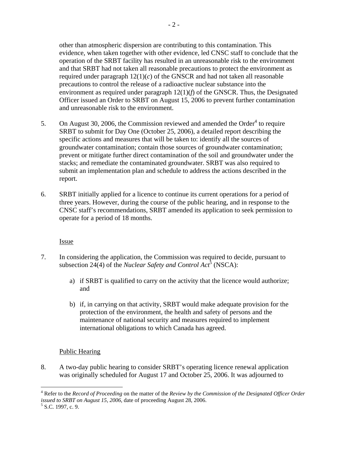precautions to control the release of a radioactive nuclear substance into the environment as required under paragraph 12(1)(*f*) of the GNSCR. Thus, the Designated Officer issued an Order to SRBT on August 15, 2006 to prevent further contamination and unreasonable risk to the environment.

- 5. On August 30, 2006, the Commission reviewed and amended the Order $4$  to require SRBT to submit for Day One (October 25, 2006), a detailed report describing the specific actions and measures that will be taken to: identify all the sources of groundwater contamination; contain those sources of groundwater contamination; prevent or mitigate further direct contamination of the soil and groundwater under the stacks; and remediate the contaminated groundwater. SRBT was also required to submit an implementation plan and schedule to address the actions described in the report.
- 6. SRBT initially applied for a licence to continue its current operations for a period of three years. However, during the course of the public hearing, and in response to the CNSC staff's recommendations, SRBT amended its application to seek permission to operate for a period of 18 months.

# Issue

- 7. In considering the application, the Commission was required to decide, pursuant to subsection 24(4) of the *Nuclear Safety and Control Act*<sup>5</sup> (NSCA):
	- a) if SRBT is qualified to carry on the activity that the licence would authorize; and
	- b) if, in carrying on that activity, SRBT would make adequate provision for the protection of the environment, the health and safety of persons and the maintenance of national security and measures required to implement international obligations to which Canada has agreed.

# Public Hearing

8. A two-day public hearing to consider SRBT's operating licence renewal application was originally scheduled for August 17 and October 25, 2006. It was adjourned to

 $\overline{a}$ 4 Refer to the *Record of Proceeding* on the matter of the *Review by the Commission of the Designated Officer Order issued to SRBT on August 15, 2006, date of proceeding August 28, 2006.* 

 $5$  S.C. 1997, c. 9.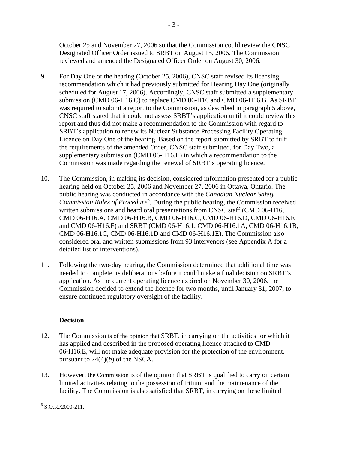October 25 and November 27, 2006 so that the Commission could review the CNSC Designated Officer Order issued to SRBT on August 15, 2006. The Commission reviewed and amended the Designated Officer Order on August 30, 2006.

- 9. For Day One of the hearing (October 25, 2006), CNSC staff revised its licensing recommendation which it had previously submitted for Hearing Day One (originally scheduled for August 17, 2006). Accordingly, CNSC staff submitted a supplementary submission (CMD 06-H16.C) to replace CMD 06-H16 and CMD 06-H16.B. As SRBT was required to submit a report to the Commission, as described in paragraph 5 above, CNSC staff stated that it could not assess SRBT's application until it could review this report and thus did not make a recommendation to the Commission with regard to SRBT's application to renew its Nuclear Substance Processing Facility Operating Licence on Day One of the hearing. Based on the report submitted by SRBT to fulfil the requirements of the amended Order, CNSC staff submitted, for Day Two, a supplementary submission (CMD 06-H16.E) in which a recommendation to the Commission was made regarding the renewal of SRBT's operating licence.
- 10. The Commission, in making its decision, considered information presented for a public hearing held on October 25, 2006 and November 27, 2006 in Ottawa, Ontario. The public hearing was conducted in accordance with the *Canadian Nuclear Safety Commission Rules of Procedure*<sup>6</sup> . During the public hearing, the Commission received written submissions and heard oral presentations from CNSC staff (CMD 06-H16, CMD 06-H16.A, CMD 06-H16.B, CMD 06-H16.C, CMD 06-H16.D, CMD 06-H16.E and CMD 06-H16.F) and SRBT (CMD 06-H16.1, CMD 06-H16.1A, CMD 06-H16.1B, CMD 06-H16.1C, CMD 06-H16.1D and CMD 06-H16.1E). The Commission also considered oral and written submissions from 93 intervenors (see Appendix A for a detailed list of interventions).
- 11. Following the two-day hearing, the Commission determined that additional time was needed to complete its deliberations before it could make a final decision on SRBT's application. As the current operating licence expired on November 30, 2006, the Commission decided to extend the licence for two months, until January 31, 2007, to ensure continued regulatory oversight of the facility.

# **Decision**

- 12. The Commission is of the opinion that SRBT, in carrying on the activities for which it has applied and described in the proposed operating licence attached to CMD 06-H16.E, will not make adequate provision for the protection of the environment, pursuant to  $24(4)(b)$  of the NSCA.
- 13. However, the Commission is of the opinion that SRBT is qualified to carry on certain limited activities relating to the possession of tritium and the maintenance of the facility. The Commission is also satisfied that SRBT, in carrying on these limited

 $\overline{a}$  $6$  S.O.R./2000-211.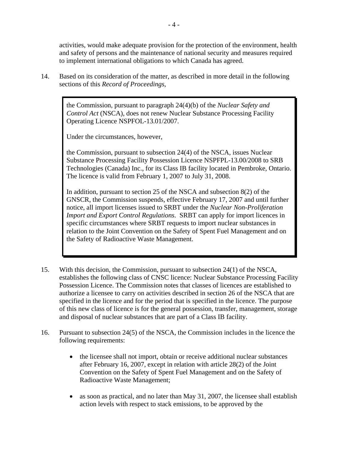activities, would make adequate provision for the protection of the environment, health and safety of persons and the maintenance of national security and measures required to implement international obligations to which Canada has agreed.

14. Based on its consideration of the matter, as described in more detail in the following sections of this *Record of Proceedings*,

> the Commission, pursuant to paragraph 24(4)(b) of the *Nuclear Safety and Control Act* (NSCA), does not renew Nuclear Substance Processing Facility Operating Licence NSPFOL-13.01/2007.

Under the circumstances, however,

the Commission, pursuant to subsection 24(4) of the NSCA, issues Nuclear Substance Processing Facility Possession Licence NSPFPL-13.00/2008 to SRB Technologies (Canada) Inc., for its Class IB facility located in Pembroke, Ontario. The licence is valid from February 1, 2007 to July 31, 2008.

In addition, pursuant to section 25 of the NSCA and subsection 8(2) of the GNSCR, the Commission suspends, effective February 17, 2007 and until further notice, all import licenses issued to SRBT under the *Nuclear Non-Proliferation Import and Export Control Regulations*. SRBT can apply for import licences in specific circumstances where SRBT requests to import nuclear substances in relation to the Joint Convention on the Safety of Spent Fuel Management and on the Safety of Radioactive Waste Management.

- 15. With this decision, the Commission, pursuant to subsection 24(1) of the NSCA, establishes the following class of CNSC licence: Nuclear Substance Processing Facility Possession Licence. The Commission notes that classes of licences are established to authorize a licensee to carry on activities described in section 26 of the NSCA that are specified in the licence and for the period that is specified in the licence. The purpose of this new class of licence is for the general possession, transfer, management, storage and disposal of nuclear substances that are part of a Class IB facility.
- 16. Pursuant to subsection 24(5) of the NSCA, the Commission includes in the licence the following requirements:
	- the licensee shall not import, obtain or receive additional nuclear substances after February 16, 2007, except in relation with article 28(2) of the Joint Convention on the Safety of Spent Fuel Management and on the Safety of Radioactive Waste Management;
	- as soon as practical, and no later than May 31, 2007, the licensee shall establish action levels with respect to stack emissions, to be approved by the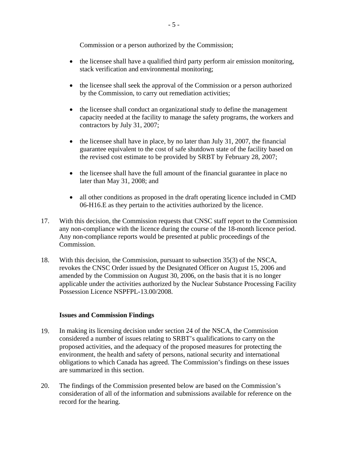Commission or a person authorized by the Commission;

- the licensee shall have a qualified third party perform air emission monitoring, stack verification and environmental monitoring;
- the licensee shall seek the approval of the Commission or a person authorized by the Commission, to carry out remediation activities;
- the licensee shall conduct an organizational study to define the management capacity needed at the facility to manage the safety programs, the workers and contractors by July 31, 2007;
- the licensee shall have in place, by no later than July 31, 2007, the financial guarantee equivalent to the cost of safe shutdown state of the facility based on the revised cost estimate to be provided by SRBT by February 28, 2007;
- the licensee shall have the full amount of the financial guarantee in place no later than May 31, 2008; and
- all other conditions as proposed in the draft operating licence included in CMD 06-H16.E as they pertain to the activities authorized by the licence.
- 17. With this decision, the Commission requests that CNSC staff report to the Commission any non-compliance with the licence during the course of the 18-month licence period. Any non-compliance reports would be presented at public proceedings of the Commission.
- 18. With this decision, the Commission, pursuant to subsection 35(3) of the NSCA, revokes the CNSC Order issued by the Designated Officer on August 15, 2006 and amended by the Commission on August 30, 2006, on the basis that it is no longer applicable under the activities authorized by the Nuclear Substance Processing Facility Possession Licence NSPFPL-13.00/2008.

#### **Issues and Commission Findings**

- 19. In making its licensing decision under section 24 of the NSCA, the Commission considered a number of issues relating to SRBT's qualifications to carry on the proposed activities, and the adequacy of the proposed measures for protecting the environment, the health and safety of persons, national security and international obligations to which Canada has agreed. The Commission's findings on these issues are summarized in this section.
- 20. The findings of the Commission presented below are based on the Commission's consideration of all of the information and submissions available for reference on the record for the hearing.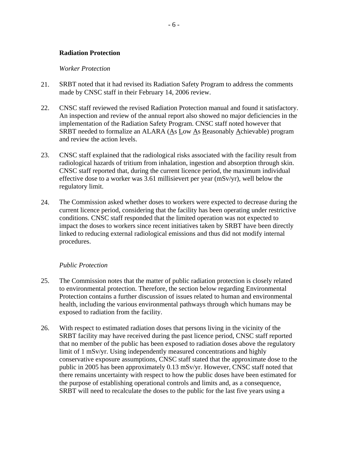#### **Radiation Protection**

#### *Worker Protection*

- 21. SRBT noted that it had revised its Radiation Safety Program to address the comments made by CNSC staff in their February 14, 2006 review.
- 22. CNSC staff reviewed the revised Radiation Protection manual and found it satisfactory. An inspection and review of the annual report also showed no major deficiencies in the implementation of the Radiation Safety Program. CNSC staff noted however that SRBT needed to formalize an ALARA (As Low As Reasonably Achievable) program and review the action levels.
- 23. CNSC staff explained that the radiological risks associated with the facility result from radiological hazards of tritium from inhalation, ingestion and absorption through skin. CNSC staff reported that, during the current licence period, the maximum individual effective dose to a worker was 3.61 millisievert per year (mSv/yr), well below the regulatory limit.
- 24. The Commission asked whether doses to workers were expected to decrease during the current licence period, considering that the facility has been operating under restrictive conditions. CNSC staff responded that the limited operation was not expected to impact the doses to workers since recent initiatives taken by SRBT have been directly linked to reducing external radiological emissions and thus did not modify internal procedures.

#### *Public Protection*

- 25. The Commission notes that the matter of public radiation protection is closely related to environmental protection. Therefore, the section below regarding Environmental Protection contains a further discussion of issues related to human and environmental health, including the various environmental pathways through which humans may be exposed to radiation from the facility.
- 26. With respect to estimated radiation doses that persons living in the vicinity of the SRBT facility may have received during the past licence period, CNSC staff reported that no member of the public has been exposed to radiation doses above the regulatory limit of 1 mSv/yr. Using independently measured concentrations and highly conservative exposure assumptions, CNSC staff stated that the approximate dose to the public in 2005 has been approximately 0.13 mSv/yr. However, CNSC staff noted that there remains uncertainty with respect to how the public doses have been estimated for the purpose of establishing operational controls and limits and, as a consequence, SRBT will need to recalculate the doses to the public for the last five years using a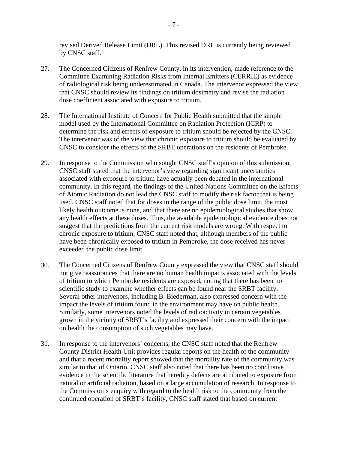revised Derived Release Limit (DRL). This revised DRL is currently being reviewed by CNSC staff.

- 27. The Concerned Citizens of Renfrew County, in its intervention, made reference to the Committee Examining Radiation Risks from Internal Emitters (CERRIE) as evidence of radiological risk being underestimated in Canada. The intervenor expressed the view that CNSC should review its findings on tritium dosimetry and revise the radiation dose coefficient associated with exposure to tritium.
- 28. The International Institute of Concern for Public Health submitted that the simple model used by the International Committee on Radiation Protection (ICRP) to determine the risk and effects of exposure to tritium should be rejected by the CNSC. The intervenor was of the view that chronic exposure to tritium should be evaluated by CNSC to consider the effects of the SRBT operations on the residents of Pembroke.
- 29. In response to the Commission who sought CNSC staff's opinion of this submission, CNSC staff stated that the intervenor's view regarding significant uncertainties associated with exposure to tritium have actually been debated in the international community. In this regard, the findings of the United Nations Committee on the Effects of Atomic Radiation do not lead the CNSC staff to modify the risk factor that is being used. CNSC staff noted that for doses in the range of the public dose limit, the most likely health outcome is none, and that there are no epidemiological studies that show any health effects at these doses. Thus, the available epidemiological evidence does not suggest that the predictions from the current risk models are wrong. With respect to chronic exposure to tritium, CNSC staff noted that, although members of the public have been chronically exposed to tritium in Pembroke, the dose received has never exceeded the public dose limit.
- 30. The Concerned Citizens of Renfrew County expressed the view that CNSC staff should not give reassurances that there are no human health impacts associated with the levels of tritium to which Pembroke residents are exposed, noting that there has been no scientific study to examine whether effects can be found near the SRBT facility. Several other intervenors, including B. Biederman, also expressed concern with the impact the levels of tritium found in the environment may have on public health. Similarly, some intervenors noted the levels of radioactivity in certain vegetables grown in the vicinity of SRBT's facility and expressed their concern with the impact on health the consumption of such vegetables may have.
- 31. In response to the intervenors' concerns, the CNSC staff noted that the Renfrew County District Health Unit provides regular reports on the health of the community and that a recent mortality report showed that the mortality rate of the community was similar to that of Ontario. CNSC staff also noted that there has been no conclusive evidence in the scientific literature that heredity defects are attributed to exposure from natural or artificial radiation, based on a large accumulation of research. In response to the Commission's enquiry with regard to the health risk to the community from the continued operation of SRBT's facility, CNSC staff stated that based on current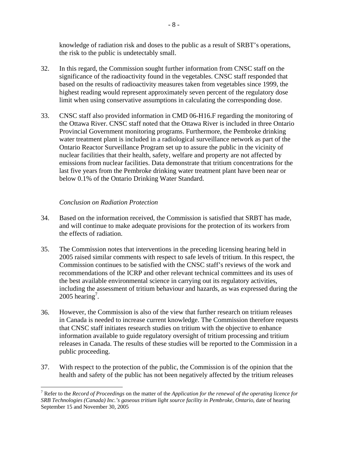knowledge of radiation risk and doses to the public as a result of SRBT's operations, the risk to the public is undetectably small.

- 32. In this regard, the Commission sought further information from CNSC staff on the significance of the radioactivity found in the vegetables. CNSC staff responded that based on the results of radioactivity measures taken from vegetables since 1999, the highest reading would represent approximately seven percent of the regulatory dose limit when using conservative assumptions in calculating the corresponding dose.
- 33. CNSC staff also provided information in CMD 06-H16.F regarding the monitoring of the Ottawa River. CNSC staff noted that the Ottawa River is included in three Ontario Provincial Government monitoring programs. Furthermore, the Pembroke drinking water treatment plant is included in a radiological surveillance network as part of the Ontario Reactor Surveillance Program set up to assure the public in the vicinity of nuclear facilities that their health, safety, welfare and property are not affected by emissions from nuclear facilities. Data demonstrate that tritium concentrations for the last five years from the Pembroke drinking water treatment plant have been near or below 0.1% of the Ontario Drinking Water Standard.

## *Conclusion on Radiation Protection*

- 34. Based on the information received, the Commission is satisfied that SRBT has made, and will continue to make adequate provisions for the protection of its workers from the effects of radiation.
- 35. The Commission notes that interventions in the preceding licensing hearing held in 2005 raised similar comments with respect to safe levels of tritium. In this respect, the Commission continues to be satisfied with the CNSC staff's reviews of the work and recommendations of the ICRP and other relevant technical committees and its uses of the best available environmental science in carrying out its regulatory activities, including the assessment of tritium behaviour and hazards, as was expressed during the  $2005$  hearing<sup>7</sup>.
- 36. However, the Commission is also of the view that further research on tritium releases in Canada is needed to increase current knowledge. The Commission therefore requests that CNSC staff initiates research studies on tritium with the objective to enhance information available to guide regulatory oversight of tritium processing and tritium releases in Canada. The results of these studies will be reported to the Commission in a public proceeding.
- 37. With respect to the protection of the public, the Commission is of the opinion that the health and safety of the public has not been negatively affected by the tritium releases

<sup>1</sup> 7 Refer to the *Record of Proceedings* on the matter of the *Application for the renewal of the operating licence for SRB Technologies (Canada) Inc.'s gaseous tritium light source facility in Pembroke, Ontario*, date of hearing September 15 and November 30, 2005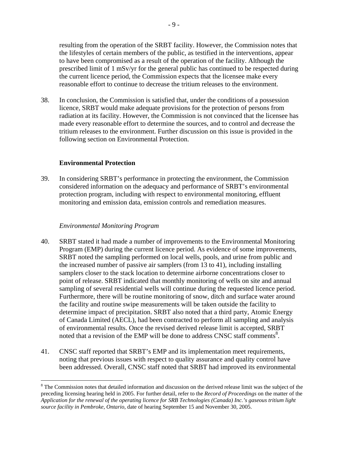resulting from the operation of the SRBT facility. However, the Commission notes that the lifestyles of certain members of the public, as testified in the interventions, appear to have been compromised as a result of the operation of the facility. Although the prescribed limit of 1 mSv/yr for the general public has continued to be respected during the current licence period, the Commission expects that the licensee make every reasonable effort to continue to decrease the tritium releases to the environment.

38. In conclusion, the Commission is satisfied that, under the conditions of a possession licence, SRBT would make adequate provisions for the protection of persons from radiation at its facility. However, the Commission is not convinced that the licensee has made every reasonable effort to determine the sources, and to control and decrease the tritium releases to the environment. Further discussion on this issue is provided in the following section on Environmental Protection.

#### **Environmental Protection**

39. In considering SRBT's performance in protecting the environment, the Commission considered information on the adequacy and performance of SRBT's environmental protection program, including with respect to environmental monitoring, effluent monitoring and emission data, emission controls and remediation measures.

#### *Environmental Monitoring Program*

 $\overline{a}$ 

- 40. SRBT stated it had made a number of improvements to the Environmental Monitoring Program (EMP) during the current licence period. As evidence of some improvements, SRBT noted the sampling performed on local wells, pools, and urine from public and the increased number of passive air samplers (from 13 to 41), including installing samplers closer to the stack location to determine airborne concentrations closer to point of release. SRBT indicated that monthly monitoring of wells on site and annual sampling of several residential wells will continue during the requested licence period. Furthermore, there will be routine monitoring of snow, ditch and surface water around the facility and routine swipe measurements will be taken outside the facility to determine impact of precipitation. SRBT also noted that a third party, Atomic Energy of Canada Limited (AECL), had been contracted to perform all sampling and analysis of environmental results. Once the revised derived release limit is accepted, SRBT noted that a revision of the EMP will be done to address CNSC staff comments<sup>8</sup>.
- 41. CNSC staff reported that SRBT's EMP and its implementation meet requirements, noting that previous issues with respect to quality assurance and quality control have been addressed. Overall, CNSC staff noted that SRBT had improved its environmental

<sup>&</sup>lt;sup>8</sup> The Commission notes that detailed information and discussion on the derived release limit was the subject of the preceding licensing hearing held in 2005. For further detail, refer to the *Record of Proceedings* on the matter of the *Application for the renewal of the operating licence for SRB Technologies (Canada) Inc.'s gaseous tritium light source facility in Pembroke, Ontario*, date of hearing September 15 and November 30, 2005.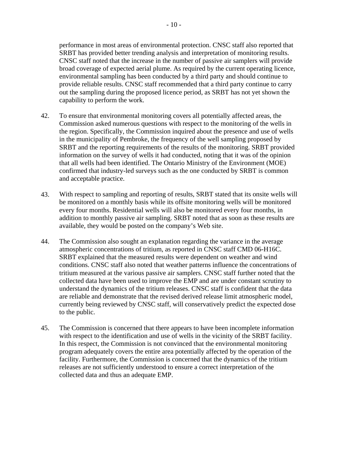performance in most areas of environmental protection. CNSC staff also reported that SRBT has provided better trending analysis and interpretation of monitoring results. CNSC staff noted that the increase in the number of passive air samplers will provide broad coverage of expected aerial plume. As required by the current operating licence, environmental sampling has been conducted by a third party and should continue to provide reliable results. CNSC staff recommended that a third party continue to carry out the sampling during the proposed licence period, as SRBT has not yet shown the capability to perform the work.

- 42. To ensure that environmental monitoring covers all potentially affected areas, the Commission asked numerous questions with respect to the monitoring of the wells in the region. Specifically, the Commission inquired about the presence and use of wells in the municipality of Pembroke, the frequency of the well sampling proposed by SRBT and the reporting requirements of the results of the monitoring. SRBT provided information on the survey of wells it had conducted, noting that it was of the opinion that all wells had been identified. The Ontario Ministry of the Environment (MOE) confirmed that industry-led surveys such as the one conducted by SRBT is common and acceptable practice.
- 43. With respect to sampling and reporting of results, SRBT stated that its onsite wells will be monitored on a monthly basis while its offsite monitoring wells will be monitored every four months. Residential wells will also be monitored every four months, in addition to monthly passive air sampling. SRBT noted that as soon as these results are available, they would be posted on the company's Web site.
- 44. The Commission also sought an explanation regarding the variance in the average atmospheric concentrations of tritium, as reported in CNSC staff CMD 06-H16C. SRBT explained that the measured results were dependent on weather and wind conditions. CNSC staff also noted that weather patterns influence the concentrations of tritium measured at the various passive air samplers. CNSC staff further noted that the collected data have been used to improve the EMP and are under constant scrutiny to understand the dynamics of the tritium releases. CNSC staff is confident that the data are reliable and demonstrate that the revised derived release limit atmospheric model, currently being reviewed by CNSC staff, will conservatively predict the expected dose to the public.
- 45. The Commission is concerned that there appears to have been incomplete information with respect to the identification and use of wells in the vicinity of the SRBT facility. In this respect, the Commission is not convinced that the environmental monitoring program adequately covers the entire area potentially affected by the operation of the facility. Furthermore, the Commission is concerned that the dynamics of the tritium releases are not sufficiently understood to ensure a correct interpretation of the collected data and thus an adequate EMP.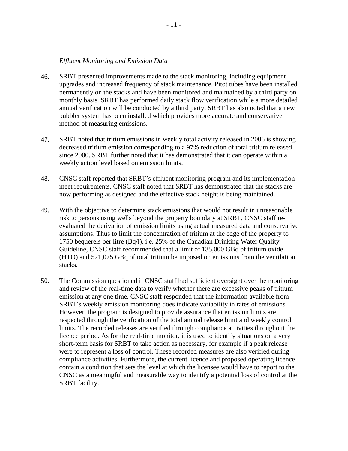#### *Effluent Monitoring and Emission Data*

- 46. SRBT presented improvements made to the stack monitoring, including equipment upgrades and increased frequency of stack maintenance. Pitot tubes have been installed permanently on the stacks and have been monitored and maintained by a third party on monthly basis. SRBT has performed daily stack flow verification while a more detailed annual verification will be conducted by a third party. SRBT has also noted that a new bubbler system has been installed which provides more accurate and conservative method of measuring emissions.
- 47. SRBT noted that tritium emissions in weekly total activity released in 2006 is showing decreased tritium emission corresponding to a 97% reduction of total tritium released since 2000. SRBT further noted that it has demonstrated that it can operate within a weekly action level based on emission limits.
- 48. CNSC staff reported that SRBT's effluent monitoring program and its implementation meet requirements. CNSC staff noted that SRBT has demonstrated that the stacks are now performing as designed and the effective stack height is being maintained.
- 49. With the objective to determine stack emissions that would not result in unreasonable risk to persons using wells beyond the property boundary at SRBT, CNSC staff reevaluated the derivation of emission limits using actual measured data and conservative assumptions. Thus to limit the concentration of tritium at the edge of the property to 1750 bequerels per litre (Bq/l), i.e. 25% of the Canadian Drinking Water Quality Guideline, CNSC staff recommended that a limit of 135,000 GBq of tritium oxide (HTO) and 521,075 GBq of total tritium be imposed on emissions from the ventilation stacks.
- 50. The Commission questioned if CNSC staff had sufficient oversight over the monitoring and review of the real-time data to verify whether there are excessive peaks of tritium emission at any one time. CNSC staff responded that the information available from SRBT's weekly emission monitoring does indicate variability in rates of emissions. However, the program is designed to provide assurance that emission limits are respected through the verification of the total annual release limit and weekly control limits. The recorded releases are verified through compliance activities throughout the licence period. As for the real-time monitor, it is used to identify situations on a very short-term basis for SRBT to take action as necessary, for example if a peak release were to represent a loss of control. These recorded measures are also verified during compliance activities. Furthermore, the current licence and proposed operating licence contain a condition that sets the level at which the licensee would have to report to the CNSC as a meaningful and measurable way to identify a potential loss of control at the SRBT facility.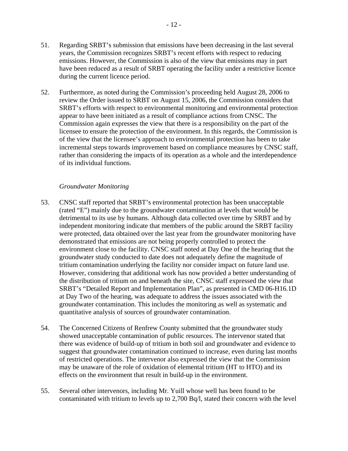- 51. Regarding SRBT's submission that emissions have been decreasing in the last several years, the Commission recognizes SRBT's recent efforts with respect to reducing emissions. However, the Commission is also of the view that emissions may in part have been reduced as a result of SRBT operating the facility under a restrictive licence during the current licence period.
- 52. Furthermore, as noted during the Commission's proceeding held August 28, 2006 to review the Order issued to SRBT on August 15, 2006, the Commission considers that SRBT's efforts with respect to environmental monitoring and environmental protection appear to have been initiated as a result of compliance actions from CNSC. The Commission again expresses the view that there is a responsibility on the part of the licensee to ensure the protection of the environment. In this regards, the Commission is of the view that the licensee's approach to environmental protection has been to take incremental steps towards improvement based on compliance measures by CNSC staff, rather than considering the impacts of its operation as a whole and the interdependence of its individual functions.

#### *Groundwater Monitoring*

- 53. CNSC staff reported that SRBT's environmental protection has been unacceptable (rated "E") mainly due to the groundwater contamination at levels that would be detrimental to its use by humans. Although data collected over time by SRBT and by independent monitoring indicate that members of the public around the SRBT facility were protected, data obtained over the last year from the groundwater monitoring have demonstrated that emissions are not being properly controlled to protect the environment close to the facility. CNSC staff noted at Day One of the hearing that the groundwater study conducted to date does not adequately define the magnitude of tritium contamination underlying the facility nor consider impact on future land use. However, considering that additional work has now provided a better understanding of the distribution of tritium on and beneath the site, CNSC staff expressed the view that SRBT's "Detailed Report and Implementation Plan", as presented in CMD 06-H16.1D at Day Two of the hearing, was adequate to address the issues associated with the groundwater contamination. This includes the monitoring as well as systematic and quantitative analysis of sources of groundwater contamination.
- 54. The Concerned Citizens of Renfrew County submitted that the groundwater study showed unacceptable contamination of public resources. The intervenor stated that there was evidence of build-up of tritium in both soil and groundwater and evidence to suggest that groundwater contamination continued to increase, even during last months of restricted operations. The intervenor also expressed the view that the Commission may be unaware of the role of oxidation of elemental tritium (HT to HTO) and its effects on the environment that result in build-up in the environment.
- 55. Several other intervenors, including Mr. Yuill whose well has been found to be contaminated with tritium to levels up to 2,700 Bq/l, stated their concern with the level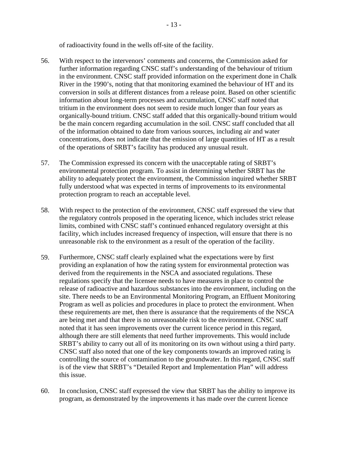of radioactivity found in the wells off-site of the facility.

- 56. With respect to the intervenors' comments and concerns, the Commission asked for further information regarding CNSC staff's understanding of the behaviour of tritium in the environment. CNSC staff provided information on the experiment done in Chalk River in the 1990's, noting that that monitoring examined the behaviour of HT and its conversion in soils at different distances from a release point. Based on other scientific information about long-term processes and accumulation, CNSC staff noted that tritium in the environment does not seem to reside much longer than four years as organically-bound tritium. CNSC staff added that this organically-bound tritium would be the main concern regarding accumulation in the soil. CNSC staff concluded that all of the information obtained to date from various sources, including air and water concentrations, does not indicate that the emission of large quantities of HT as a result of the operations of SRBT's facility has produced any unusual result.
- 57. The Commission expressed its concern with the unacceptable rating of SRBT's environmental protection program. To assist in determining whether SRBT has the ability to adequately protect the environment, the Commission inquired whether SRBT fully understood what was expected in terms of improvements to its environmental protection program to reach an acceptable level.
- 58. With respect to the protection of the environment, CNSC staff expressed the view that the regulatory controls proposed in the operating licence, which includes strict release limits, combined with CNSC staff's continued enhanced regulatory oversight at this facility, which includes increased frequency of inspection, will ensure that there is no unreasonable risk to the environment as a result of the operation of the facility.
- 59. Furthermore, CNSC staff clearly explained what the expectations were by first providing an explanation of how the rating system for environmental protection was derived from the requirements in the NSCA and associated regulations. These regulations specify that the licensee needs to have measures in place to control the release of radioactive and hazardous substances into the environment, including on the site. There needs to be an Environmental Monitoring Program, an Effluent Monitoring Program as well as policies and procedures in place to protect the environment. When these requirements are met, then there is assurance that the requirements of the NSCA are being met and that there is no unreasonable risk to the environment. CNSC staff noted that it has seen improvements over the current licence period in this regard, although there are still elements that need further improvements. This would include SRBT's ability to carry out all of its monitoring on its own without using a third party. CNSC staff also noted that one of the key components towards an improved rating is controlling the source of contamination to the groundwater. In this regard, CNSC staff is of the view that SRBT's "Detailed Report and Implementation Plan" will address this issue.
- 60. In conclusion, CNSC staff expressed the view that SRBT has the ability to improve its program, as demonstrated by the improvements it has made over the current licence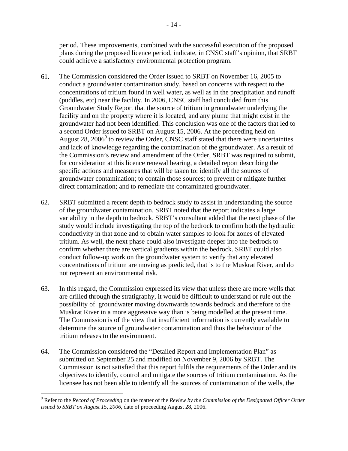period. These improvements, combined with the successful execution of the proposed plans during the proposed licence period, indicate, in CNSC staff's opinion, that SRBT could achieve a satisfactory environmental protection program.

- 61. The Commission considered the Order issued to SRBT on November 16, 2005 to conduct a groundwater contamination study, based on concerns with respect to the concentrations of tritium found in well water, as well as in the precipitation and runoff (puddles, etc) near the facility. In 2006, CNSC staff had concluded from this Groundwater Study Report that the source of tritium in groundwater underlying the facility and on the property where it is located, and any plume that might exist in the groundwater had not been identified. This conclusion was one of the factors that led to a second Order issued to SRBT on August 15, 2006. At the proceeding held on August  $28$ ,  $2006<sup>9</sup>$  to review the Order, CNSC staff stated that there were uncertainties and lack of knowledge regarding the contamination of the groundwater. As a result of the Commission's review and amendment of the Order, SRBT was required to submit, for consideration at this licence renewal hearing, a detailed report describing the specific actions and measures that will be taken to: identify all the sources of groundwater contamination; to contain those sources; to prevent or mitigate further direct contamination; and to remediate the contaminated groundwater.
- 62. SRBT submitted a recent depth to bedrock study to assist in understanding the source of the groundwater contamination. SRBT noted that the report indicates a large variability in the depth to bedrock. SRBT's consultant added that the next phase of the study would include investigating the top of the bedrock to confirm both the hydraulic conductivity in that zone and to obtain water samples to look for zones of elevated tritium. As well, the next phase could also investigate deeper into the bedrock to confirm whether there are vertical gradients within the bedrock. SRBT could also conduct follow-up work on the groundwater system to verify that any elevated concentrations of tritium are moving as predicted, that is to the Muskrat River, and do not represent an environmental risk.
- 63. In this regard, the Commission expressed its view that unless there are more wells that are drilled through the stratigraphy, it would be difficult to understand or rule out the possibility of groundwater moving downwards towards bedrock and therefore to the Muskrat River in a more aggressive way than is being modelled at the present time. The Commission is of the view that insufficient information is currently available to determine the source of groundwater contamination and thus the behaviour of the tritium releases to the environment.
- 64. The Commission considered the "Detailed Report and Implementation Plan" as submitted on September 25 and modified on November 9, 2006 by SRBT. The Commission is not satisfied that this report fulfils the requirements of the Order and its objectives to identify, control and mitigate the sources of tritium contamination. As the licensee has not been able to identify all the sources of contamination of the wells, the

 $\overline{a}$ 

<sup>9</sup> Refer to the *Record of Proceeding* on the matter of the *Review by the Commission of the Designated Officer Order issued to SRBT on August 15, 2006*, date of proceeding August 28, 2006.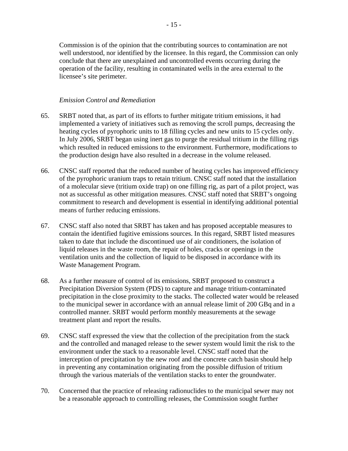Commission is of the opinion that the contributing sources to contamination are not well understood, nor identified by the licensee. In this regard, the Commission can only conclude that there are unexplained and uncontrolled events occurring during the operation of the facility, resulting in contaminated wells in the area external to the licensee's site perimeter.

#### *Emission Control and Remediation*

- 65. SRBT noted that, as part of its efforts to further mitigate tritium emissions, it had implemented a variety of initiatives such as removing the scroll pumps, decreasing the heating cycles of pyrophoric units to 18 filling cycles and new units to 15 cycles only. In July 2006, SRBT began using inert gas to purge the residual tritium in the filling rigs which resulted in reduced emissions to the environment. Furthermore, modifications to the production design have also resulted in a decrease in the volume released.
- 66. CNSC staff reported that the reduced number of heating cycles has improved efficiency of the pyrophoric uranium traps to retain tritium. CNSC staff noted that the installation of a molecular sieve (tritium oxide trap) on one filling rig, as part of a pilot project, was not as successful as other mitigation measures. CNSC staff noted that SRBT's ongoing commitment to research and development is essential in identifying additional potential means of further reducing emissions.
- 67. CNSC staff also noted that SRBT has taken and has proposed acceptable measures to contain the identified fugitive emissions sources. In this regard, SRBT listed measures taken to date that include the discontinued use of air conditioners, the isolation of liquid releases in the waste room, the repair of holes, cracks or openings in the ventilation units and the collection of liquid to be disposed in accordance with its Waste Management Program.
- 68. As a further measure of control of its emissions, SRBT proposed to construct a Precipitation Diversion System (PDS) to capture and manage tritium-contaminated precipitation in the close proximity to the stacks. The collected water would be released to the municipal sewer in accordance with an annual release limit of 200 GBq and in a controlled manner. SRBT would perform monthly measurements at the sewage treatment plant and report the results.
- 69. CNSC staff expressed the view that the collection of the precipitation from the stack and the controlled and managed release to the sewer system would limit the risk to the environment under the stack to a reasonable level. CNSC staff noted that the interception of precipitation by the new roof and the concrete catch basin should help in preventing any contamination originating from the possible diffusion of tritium through the various materials of the ventilation stacks to enter the groundwater.
- 70. Concerned that the practice of releasing radionuclides to the municipal sewer may not be a reasonable approach to controlling releases, the Commission sought further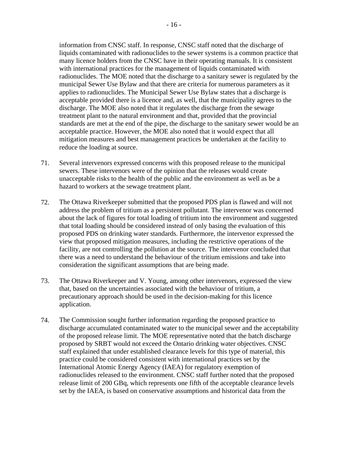information from CNSC staff. In response, CNSC staff noted that the discharge of liquids contaminated with radionuclides to the sewer systems is a common practice that many licence holders from the CNSC have in their operating manuals. It is consistent with international practices for the management of liquids contaminated with radionuclides. The MOE noted that the discharge to a sanitary sewer is regulated by the municipal Sewer Use Bylaw and that there are criteria for numerous parameters as it applies to radionuclides. The Municipal Sewer Use Bylaw states that a discharge is acceptable provided there is a licence and, as well, that the municipality agrees to the discharge. The MOE also noted that it regulates the discharge from the sewage treatment plant to the natural environment and that, provided that the provincial standards are met at the end of the pipe, the discharge to the sanitary sewer would be an acceptable practice. However, the MOE also noted that it would expect that all mitigation measures and best management practices be undertaken at the facility to reduce the loading at source.

- 71. Several intervenors expressed concerns with this proposed release to the municipal sewers. These intervenors were of the opinion that the releases would create unacceptable risks to the health of the public and the environment as well as be a hazard to workers at the sewage treatment plant.
- 72. The Ottawa Riverkeeper submitted that the proposed PDS plan is flawed and will not address the problem of tritium as a persistent pollutant. The intervenor was concerned about the lack of figures for total loading of tritium into the environment and suggested that total loading should be considered instead of only basing the evaluation of this proposed PDS on drinking water standards. Furthermore, the intervenor expressed the view that proposed mitigation measures, including the restrictive operations of the facility, are not controlling the pollution at the source. The intervenor concluded that there was a need to understand the behaviour of the tritium emissions and take into consideration the significant assumptions that are being made.
- 73. The Ottawa Riverkeeper and V. Young, among other intervenors, expressed the view that, based on the uncertainties associated with the behaviour of tritium, a precautionary approach should be used in the decision-making for this licence application.
- 74. The Commission sought further information regarding the proposed practice to discharge accumulated contaminated water to the municipal sewer and the acceptability of the proposed release limit. The MOE representative noted that the batch discharge proposed by SRBT would not exceed the Ontario drinking water objectives. CNSC staff explained that under established clearance levels for this type of material, this practice could be considered consistent with international practices set by the International Atomic Energy Agency (IAEA) for regulatory exemption of radionuclides released to the environment. CNSC staff further noted that the proposed release limit of 200 GBq, which represents one fifth of the acceptable clearance levels set by the IAEA, is based on conservative assumptions and historical data from the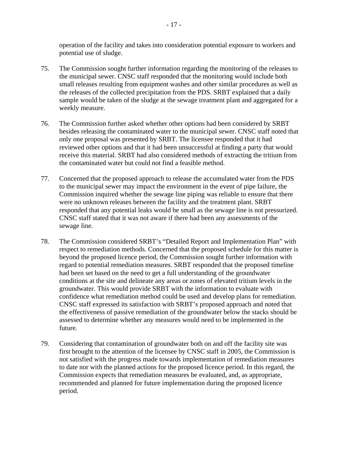operation of the facility and takes into consideration potential exposure to workers and potential use of sludge.

- 75. The Commission sought further information regarding the monitoring of the releases to the municipal sewer. CNSC staff responded that the monitoring would include both small releases resulting from equipment washes and other similar procedures as well as the releases of the collected precipitation from the PDS. SRBT explained that a daily sample would be taken of the sludge at the sewage treatment plant and aggregated for a weekly measure.
- 76. The Commission further asked whether other options had been considered by SRBT besides releasing the contaminated water to the municipal sewer. CNSC staff noted that only one proposal was presented by SRBT. The licensee responded that it had reviewed other options and that it had been unsuccessful at finding a party that would receive this material. SRBT had also considered methods of extracting the tritium from the contaminated water but could not find a feasible method.
- 77. Concerned that the proposed approach to release the accumulated water from the PDS to the municipal sewer may impact the environment in the event of pipe failure, the Commission inquired whether the sewage line piping was reliable to ensure that there were no unknown releases between the facility and the treatment plant. SRBT responded that any potential leaks would be small as the sewage line is not pressurized. CNSC staff stated that it was not aware if there had been any assessments of the sewage line.
- 78. The Commission considered SRBT's "Detailed Report and Implementation Plan" with respect to remediation methods. Concerned that the proposed schedule for this matter is beyond the proposed licence period, the Commission sought further information with regard to potential remediation measures. SRBT responded that the proposed timeline had been set based on the need to get a full understanding of the groundwater conditions at the site and delineate any areas or zones of elevated tritium levels in the groundwater. This would provide SRBT with the information to evaluate with confidence what remediation method could be used and develop plans for remediation. CNSC staff expressed its satisfaction with SRBT's proposed approach and noted that the effectiveness of passive remediation of the groundwater below the stacks should be assessed to determine whether any measures would need to be implemented in the future.
- 79. Considering that contamination of groundwater both on and off the facility site was first brought to the attention of the licensee by CNSC staff in 2005, the Commission is not satisfied with the progress made towards implementation of remediation measures to date nor with the planned actions for the proposed licence period. In this regard, the Commission expects that remediation measures be evaluated, and, as appropriate, recommended and planned for future implementation during the proposed licence period.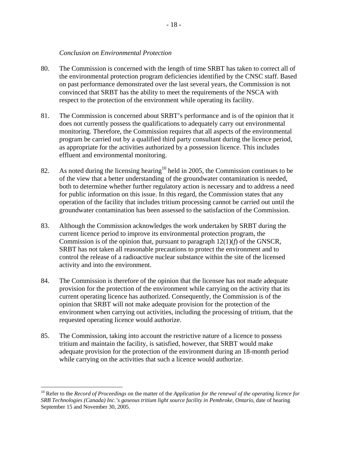#### *Conclusion on Environmental Protection*

- 80. The Commission is concerned with the length of time SRBT has taken to correct all of the environmental protection program deficiencies identified by the CNSC staff. Based on past performance demonstrated over the last several years, the Commission is not convinced that SRBT has the ability to meet the requirements of the NSCA with respect to the protection of the environment while operating its facility.
- 81. The Commission is concerned about SRBT's performance and is of the opinion that it does not currently possess the qualifications to adequately carry out environmental monitoring. Therefore, the Commission requires that all aspects of the environmental program be carried out by a qualified third party consultant during the licence period, as appropriate for the activities authorized by a possession licence. This includes effluent and environmental monitoring.
- 82. As noted during the licensing hearing<sup>10</sup> held in 2005, the Commission continues to be of the view that a better understanding of the groundwater contamination is needed, both to determine whether further regulatory action is necessary and to address a need for public information on this issue. In this regard, the Commission states that any operation of the facility that includes tritium processing cannot be carried out until the groundwater contamination has been assessed to the satisfaction of the Commission.
- 83. Although the Commission acknowledges the work undertaken by SRBT during the current licence period to improve its environmental protection program, the Commission is of the opinion that, pursuant to paragraph 12(1)(*f*) of the GNSCR, SRBT has not taken all reasonable precautions to protect the environment and to control the release of a radioactive nuclear substance within the site of the licensed activity and into the environment.
- 84. The Commission is therefore of the opinion that the licensee has not made adequate provision for the protection of the environment while carrying on the activity that its current operating licence has authorized. Consequently, the Commission is of the opinion that SRBT will not make adequate provision for the protection of the environment when carrying out activities, including the processing of tritium, that the requested operating licence would authorize.
- 85. The Commission, taking into account the restrictive nature of a licence to possess tritium and maintain the facility, is satisfied, however, that SRBT would make adequate provision for the protection of the environment during an 18-month period while carrying on the activities that such a licence would authorize.

 $\overline{a}$ 

<sup>10</sup> Refer to the *Record of Proceedings* on the matter of the *Application for the renewal of the operating licence for SRB Technologies (Canada) Inc.'s gaseous tritium light source facility in Pembroke, Ontario*, date of hearing September 15 and November 30, 2005.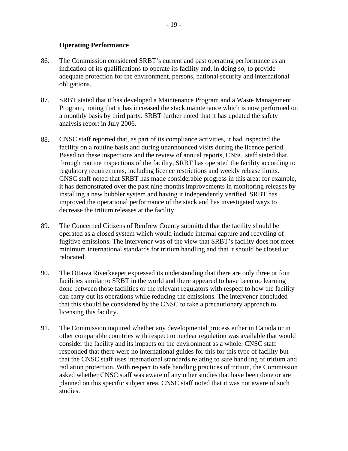#### **Operating Performance**

- 86. The Commission considered SRBT's current and past operating performance as an indication of its qualifications to operate its facility and, in doing so, to provide adequate protection for the environment, persons, national security and international obligations.
- 87. SRBT stated that it has developed a Maintenance Program and a Waste Management Program, noting that it has increased the stack maintenance which is now performed on a monthly basis by third party. SRBT further noted that it has updated the safety analysis report in July 2006.
- 88. CNSC staff reported that, as part of its compliance activities, it had inspected the facility on a routine basis and during unannounced visits during the licence period. Based on these inspections and the review of annual reports, CNSC staff stated that, through routine inspections of the facility, SRBT has operated the facility according to regulatory requirements, including licence restrictions and weekly release limits. CNSC staff noted that SRBT has made considerable progress in this area; for example, it has demonstrated over the past nine months improvements in monitoring releases by installing a new bubbler system and having it independently verified. SRBT has improved the operational performance of the stack and has investigated ways to decrease the tritium releases at the facility.
- 89. The Concerned Citizens of Renfrew County submitted that the facility should be operated as a closed system which would include internal capture and recycling of fugitive emissions. The intervenor was of the view that SRBT's facility does not meet minimum international standards for tritium handling and that it should be closed or relocated.
- 90. The Ottawa Riverkeeper expressed its understanding that there are only three or four facilities similar to SRBT in the world and there appeared to have been no learning done between those facilities or the relevant regulators with respect to how the facility can carry out its operations while reducing the emissions. The intervenor concluded that this should be considered by the CNSC to take a precautionary approach to licensing this facility.
- 91. The Commission inquired whether any developmental process either in Canada or in other comparable countries with respect to nuclear regulation was available that would consider the facility and its impacts on the environment as a whole. CNSC staff responded that there were no international guides for this for this type of facility but that the CNSC staff uses international standards relating to safe handling of tritium and radiation protection. With respect to safe handling practices of tritium, the Commission asked whether CNSC staff was aware of any other studies that have been done or are planned on this specific subject area. CNSC staff noted that it was not aware of such studies.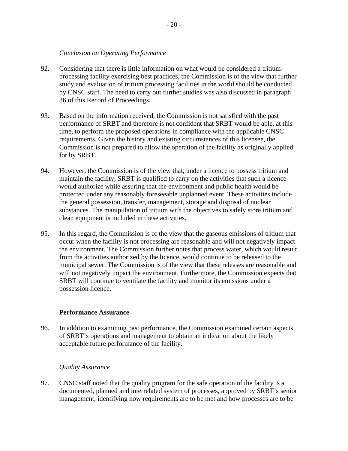#### *Conclusion on Operating Performance*

- 92. Considering that there is little information on what would be considered a tritiumprocessing facility exercising best practices, the Commission is of the view that further study and evaluation of tritium processing facilities in the world should be conducted by CNSC staff. The need to carry out further studies was also discussed in paragraph 36 of this Record of Proceedings.
- 93. Based on the information received, the Commission is not satisfied with the past performance of SRBT and therefore is not confident that SRBT would be able, at this time, to perform the proposed operations in compliance with the applicable CNSC requirements. Given the history and existing circumstances of this licensee, the Commission is not prepared to allow the operation of the facility as originally applied for by SRBT.
- 94. However, the Commission is of the view that, under a licence to possess tritium and maintain the facility, SRBT is qualified to carry on the activities that such a licence would authorize while assuring that the environment and public health would be protected under any reasonably foreseeable unplanned event. These activities include the general possession, transfer, management, storage and disposal of nuclear substances. The manipulation of tritium with the objectives to safely store tritium and clean equipment is included in these activities.
- 95. In this regard, the Commission is of the view that the gaseous emissions of tritium that occur when the facility is not processing are reasonable and will not negatively impact the environment. The Commission further notes that process water, which would result from the activities authorized by the licence, would continue to be released to the municipal sewer. The Commission is of the view that these releases are reasonable and will not negatively impact the environment. Furthermore, the Commission expects that SRBT will continue to ventilate the facility and monitor its emissions under a possession licence.

# **Performance Assurance**

96. In addition to examining past performance, the Commission examined certain aspects of SRBT's operations and management to obtain an indication about the likely acceptable future performance of the facility.

#### *Quality Assurance*

97. CNSC staff noted that the quality program for the safe operation of the facility is a documented, planned and interrelated system of processes, approved by SRBT's senior management, identifying how requirements are to be met and how processes are to be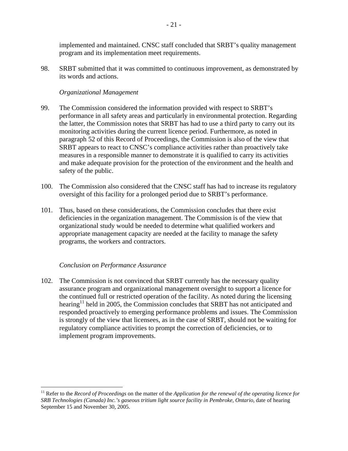implemented and maintained. CNSC staff concluded that SRBT's quality management program and its implementation meet requirements.

98. SRBT submitted that it was committed to continuous improvement, as demonstrated by its words and actions.

## *Organizational Management*

- 99. The Commission considered the information provided with respect to SRBT's performance in all safety areas and particularly in environmental protection. Regarding the latter, the Commission notes that SRBT has had to use a third party to carry out its monitoring activities during the current licence period. Furthermore, as noted in paragraph 52 of this Record of Proceedings, the Commission is also of the view that SRBT appears to react to CNSC's compliance activities rather than proactively take measures in a responsible manner to demonstrate it is qualified to carry its activities and make adequate provision for the protection of the environment and the health and safety of the public.
- 100. The Commission also considered that the CNSC staff has had to increase its regulatory oversight of this facility for a prolonged period due to SRBT's performance.
- 101. Thus, based on these considerations, the Commission concludes that there exist deficiencies in the organization management. The Commission is of the view that organizational study would be needed to determine what qualified workers and appropriate management capacity are needed at the facility to manage the safety programs, the workers and contractors.

#### *Conclusion on Performance Assurance*

1

102. The Commission is not convinced that SRBT currently has the necessary quality assurance program and organizational management oversight to support a licence for the continued full or restricted operation of the facility. As noted during the licensing hearing<sup>11</sup> held in 2005, the Commission concludes that SRBT has not anticipated and responded proactively to emerging performance problems and issues. The Commission is strongly of the view that licensees, as in the case of SRBT, should not be waiting for regulatory compliance activities to prompt the correction of deficiencies, or to implement program improvements.

<sup>11</sup> Refer to the *Record of Proceedings* on the matter of the *Application for the renewal of the operating licence for SRB Technologies (Canada) Inc.'s gaseous tritium light source facility in Pembroke, Ontario*, date of hearing September 15 and November 30, 2005.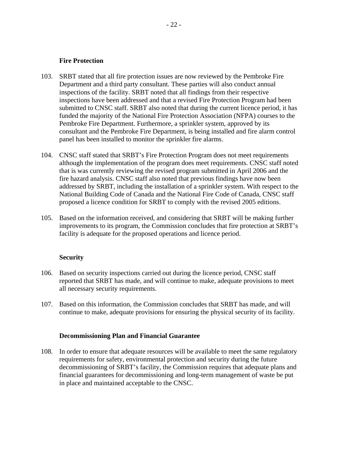#### **Fire Protection**

- 103. SRBT stated that all fire protection issues are now reviewed by the Pembroke Fire Department and a third party consultant. These parties will also conduct annual inspections of the facility. SRBT noted that all findings from their respective inspections have been addressed and that a revised Fire Protection Program had been submitted to CNSC staff. SRBT also noted that during the current licence period, it has funded the majority of the National Fire Protection Association (NFPA) courses to the Pembroke Fire Department. Furthermore, a sprinkler system, approved by its consultant and the Pembroke Fire Department, is being installed and fire alarm control panel has been installed to monitor the sprinkler fire alarms.
- 104. CNSC staff stated that SRBT's Fire Protection Program does not meet requirements although the implementation of the program does meet requirements. CNSC staff noted that is was currently reviewing the revised program submitted in April 2006 and the fire hazard analysis. CNSC staff also noted that previous findings have now been addressed by SRBT, including the installation of a sprinkler system. With respect to the National Building Code of Canada and the National Fire Code of Canada, CNSC staff proposed a licence condition for SRBT to comply with the revised 2005 editions.
- 105. Based on the information received, and considering that SRBT will be making further improvements to its program, the Commission concludes that fire protection at SRBT's facility is adequate for the proposed operations and licence period.

#### **Security**

- 106. Based on security inspections carried out during the licence period, CNSC staff reported that SRBT has made, and will continue to make, adequate provisions to meet all necessary security requirements.
- 107. Based on this information, the Commission concludes that SRBT has made, and will continue to make, adequate provisions for ensuring the physical security of its facility.

#### **Decommissioning Plan and Financial Guarantee**

108. In order to ensure that adequate resources will be available to meet the same regulatory requirements for safety, environmental protection and security during the future decommissioning of SRBT's facility, the Commission requires that adequate plans and financial guarantees for decommissioning and long-term management of waste be put in place and maintained acceptable to the CNSC.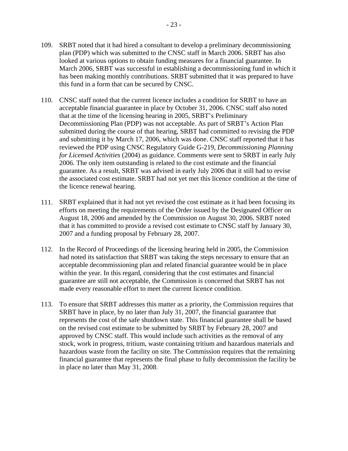- 109. SRBT noted that it had hired a consultant to develop a preliminary decommissioning plan (PDP) which was submitted to the CNSC staff in March 2006. SRBT has also looked at various options to obtain funding measures for a financial guarantee. In March 2006, SRBT was successful in establishing a decommissioning fund in which it has been making monthly contributions. SRBT submitted that it was prepared to have this fund in a form that can be secured by CNSC.
- 110. CNSC staff noted that the current licence includes a condition for SRBT to have an acceptable financial guarantee in place by October 31, 2006. CNSC staff also noted that at the time of the licensing hearing in 2005, SRBT's Preliminary Decommissioning Plan (PDP) was not acceptable. As part of SRBT's Action Plan submitted during the course of that hearing, SRBT had committed to revising the PDP and submitting it by March 17, 2006, which was done. CNSC staff reported that it has reviewed the PDP using CNSC Regulatory Guide G-219, *Decommissioning Planning for Licensed Activities* (2004) as guidance. Comments were sent to SRBT in early July 2006. The only item outstanding is related to the cost estimate and the financial guarantee. As a result, SRBT was advised in early July 2006 that it still had to revise the associated cost estimate. SRBT had not yet met this licence condition at the time of the licence renewal hearing.
- 111. SRBT explained that it had not yet revised the cost estimate as it had been focusing its efforts on meeting the requirements of the Order issued by the Designated Officer on August 18, 2006 and amended by the Commission on August 30, 2006. SRBT noted that it has committed to provide a revised cost estimate to CNSC staff by January 30, 2007 and a funding proposal by February 28, 2007.
- 112. In the Record of Proceedings of the licensing hearing held in 2005, the Commission had noted its satisfaction that SRBT was taking the steps necessary to ensure that an acceptable decommissioning plan and related financial guarantee would be in place within the year. In this regard, considering that the cost estimates and financial guarantee are still not acceptable, the Commission is concerned that SRBT has not made every reasonable effort to meet the current licence condition.
- 113. To ensure that SRBT addresses this matter as a priority, the Commission requires that SRBT have in place, by no later than July 31, 2007, the financial guarantee that represents the cost of the safe shutdown state. This financial guarantee shall be based on the revised cost estimate to be submitted by SRBT by February 28, 2007 and approved by CNSC staff. This would include such activities as the removal of any stock, work in progress, tritium, waste containing tritium and hazardous materials and hazardous waste from the facility on site. The Commission requires that the remaining financial guarantee that represents the final phase to fully decommission the facility be in place no later than May 31, 2008.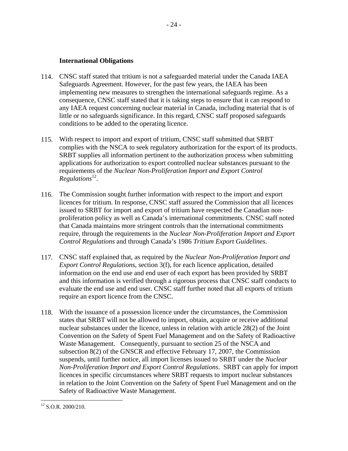#### **International Obligations**

- 114. CNSC staff stated that tritium is not a safeguarded material under the Canada IAEA Safeguards Agreement. However, for the past few years, the IAEA has been implementing new measures to strengthen the international safeguards regime. As a consequence, CNSC staff stated that it is taking steps to ensure that it can respond to any IAEA request concerning nuclear material in Canada, including material that is of little or no safeguards significance. In this regard, CNSC staff proposed safeguards conditions to be added to the operating licence.
- 115. With respect to import and export of tritium, CNSC staff submitted that SRBT complies with the NSCA to seek regulatory authorization for the export of its products. SRBT supplies all information pertinent to the authorization process when submitting applications for authorization to export controlled nuclear substances pursuant to the requirements of the *Nuclear Non-Proliferation Import and Export Control Regulations*12.
- 116. The Commission sought further information with respect to the import and export licences for tritium. In response, CNSC staff assured the Commission that all licences issued to SRBT for import and export of tritium have respected the Canadian nonproliferation policy as well as Canada's international commitments. CNSC staff noted that Canada maintains more stringent controls than the international commitments require, through the requirements in the *Nuclear Non-Proliferation Import and Export Control Regulations* and through Canada's 1986 *Tritium Export Guidelines*.
- 117. CNSC staff explained that, as required by the *Nuclear Non-Proliferation Import and Export Control Regulations*, section 3(f), for each licence application, detailed information on the end use and end user of each export has been provided by SRBT and this information is verified through a rigorous process that CNSC staff conducts to evaluate the end use and end user. CNSC staff further noted that all exports of tritium require an export licence from the CNSC.
- 118. With the issuance of a possession licence under the circumstances, the Commission states that SRBT will not be allowed to import, obtain, acquire or receive additional nuclear substances under the licence, unless in relation with article 28(2) of the Joint Convention on the Safety of Spent Fuel Management and on the Safety of Radioactive Waste Management. Consequently, pursuant to section 25 of the NSCA and subsection 8(2) of the GNSCR and effective February 17, 2007, the Commission suspends, until further notice, all import licenses issued to SRBT under the *Nuclear Non-Proliferation Import and Export Control Regulations*. SRBT can apply for import licences in specific circumstances where SRBT requests to import nuclear substances in relation to the Joint Convention on the Safety of Spent Fuel Management and on the Safety of Radioactive Waste Management.

 $\overline{a}$  $12$  S.O.R. 2000/210.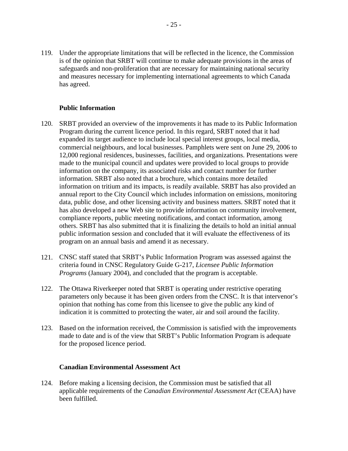119. Under the appropriate limitations that will be reflected in the licence, the Commission is of the opinion that SRBT will continue to make adequate provisions in the areas of safeguards and non-proliferation that are necessary for maintaining national security and measures necessary for implementing international agreements to which Canada has agreed.

## **Public Information**

- 120. SRBT provided an overview of the improvements it has made to its Public Information Program during the current licence period. In this regard, SRBT noted that it had expanded its target audience to include local special interest groups, local media, commercial neighbours, and local businesses. Pamphlets were sent on June 29, 2006 to 12,000 regional residences, businesses, facilities, and organizations. Presentations were made to the municipal council and updates were provided to local groups to provide information on the company, its associated risks and contact number for further information. SRBT also noted that a brochure, which contains more detailed information on tritium and its impacts, is readily available. SRBT has also provided an annual report to the City Council which includes information on emissions, monitoring data, public dose, and other licensing activity and business matters. SRBT noted that it has also developed a new Web site to provide information on community involvement, compliance reports, public meeting notifications, and contact information, among others. SRBT has also submitted that it is finalizing the details to hold an initial annual public information session and concluded that it will evaluate the effectiveness of its program on an annual basis and amend it as necessary.
- 121. CNSC staff stated that SRBT's Public Information Program was assessed against the criteria found in CNSC Regulatory Guide G-217, *Licensee Public Information Programs* (January 2004), and concluded that the program is acceptable.
- 122. The Ottawa Riverkeeper noted that SRBT is operating under restrictive operating parameters only because it has been given orders from the CNSC. It is that intervenor's opinion that nothing has come from this licensee to give the public any kind of indication it is committed to protecting the water, air and soil around the facility.
- 123. Based on the information received, the Commission is satisfied with the improvements made to date and is of the view that SRBT's Public Information Program is adequate for the proposed licence period.

#### **Canadian Environmental Assessment Act**

124. Before making a licensing decision, the Commission must be satisfied that all applicable requirements of the *Canadian Environmental Assessment Act* (CEAA) have been fulfilled.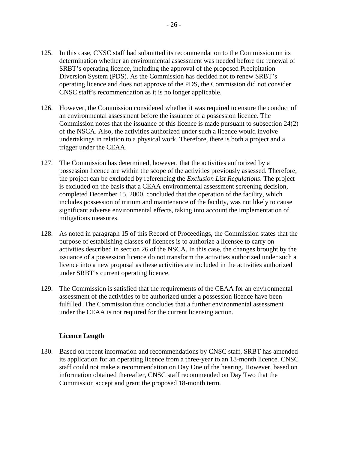- 125. In this case, CNSC staff had submitted its recommendation to the Commission on its determination whether an environmental assessment was needed before the renewal of SRBT's operating licence, including the approval of the proposed Precipitation Diversion System (PDS). As the Commission has decided not to renew SRBT's operating licence and does not approve of the PDS, the Commission did not consider CNSC staff's recommendation as it is no longer applicable.
- 126. However, the Commission considered whether it was required to ensure the conduct of an environmental assessment before the issuance of a possession licence. The Commission notes that the issuance of this licence is made pursuant to subsection 24(2) of the NSCA. Also, the activities authorized under such a licence would involve undertakings in relation to a physical work. Therefore, there is both a project and a trigger under the CEAA.
- 127. The Commission has determined, however, that the activities authorized by a possession licence are within the scope of the activities previously assessed. Therefore, the project can be excluded by referencing the *Exclusion List Regulations*. The project is excluded on the basis that a CEAA environmental assessment screening decision, completed December 15, 2000, concluded that the operation of the facility, which includes possession of tritium and maintenance of the facility, was not likely to cause significant adverse environmental effects, taking into account the implementation of mitigations measures.
- 128. As noted in paragraph 15 of this Record of Proceedings, the Commission states that the purpose of establishing classes of licences is to authorize a licensee to carry on activities described in section 26 of the NSCA. In this case, the changes brought by the issuance of a possession licence do not transform the activities authorized under such a licence into a new proposal as these activities are included in the activities authorized under SRBT's current operating licence.
- 129. The Commission is satisfied that the requirements of the CEAA for an environmental assessment of the activities to be authorized under a possession licence have been fulfilled. The Commission thus concludes that a further environmental assessment under the CEAA is not required for the current licensing action.

#### **Licence Length**

130. Based on recent information and recommendations by CNSC staff, SRBT has amended its application for an operating licence from a three-year to an 18-month licence. CNSC staff could not make a recommendation on Day One of the hearing. However, based on information obtained thereafter, CNSC staff recommended on Day Two that the Commission accept and grant the proposed 18-month term.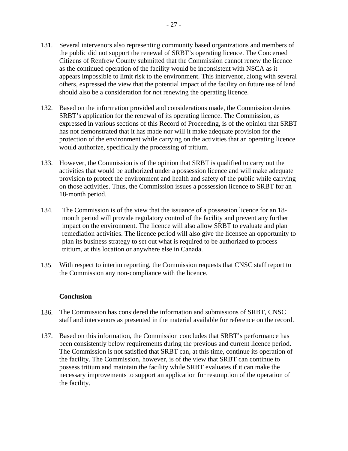- 131. Several intervenors also representing community based organizations and members of the public did not support the renewal of SRBT's operating licence. The Concerned Citizens of Renfrew County submitted that the Commission cannot renew the licence as the continued operation of the facility would be inconsistent with NSCA as it appears impossible to limit risk to the environment. This intervenor, along with several others, expressed the view that the potential impact of the facility on future use of land should also be a consideration for not renewing the operating licence.
- 132. Based on the information provided and considerations made, the Commission denies SRBT's application for the renewal of its operating licence. The Commission, as expressed in various sections of this Record of Proceeding, is of the opinion that SRBT has not demonstrated that it has made nor will it make adequate provision for the protection of the environment while carrying on the activities that an operating licence would authorize, specifically the processing of tritium.
- 133. However, the Commission is of the opinion that SRBT is qualified to carry out the activities that would be authorized under a possession licence and will make adequate provision to protect the environment and health and safety of the public while carrying on those activities. Thus, the Commission issues a possession licence to SRBT for an 18-month period.
- 134. The Commission is of the view that the issuance of a possession licence for an 18 month period will provide regulatory control of the facility and prevent any further impact on the environment. The licence will also allow SRBT to evaluate and plan remediation activities. The licence period will also give the licensee an opportunity to plan its business strategy to set out what is required to be authorized to process tritium, at this location or anywhere else in Canada.
- 135. With respect to interim reporting, the Commission requests that CNSC staff report to the Commission any non-compliance with the licence.

#### **Conclusion**

- 136. The Commission has considered the information and submissions of SRBT, CNSC staff and intervenors as presented in the material available for reference on the record.
- 137. Based on this information, the Commission concludes that SRBT's performance has been consistently below requirements during the previous and current licence period. The Commission is not satisfied that SRBT can, at this time, continue its operation of the facility. The Commission, however, is of the view that SRBT can continue to possess tritium and maintain the facility while SRBT evaluates if it can make the necessary improvements to support an application for resumption of the operation of the facility.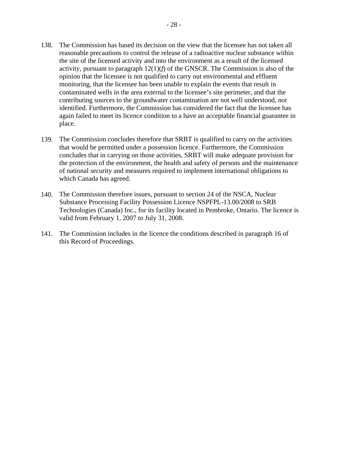- 138. The Commission has based its decision on the view that the licensee has not taken all reasonable precautions to control the release of a radioactive nuclear substance within the site of the licensed activity and into the environment as a result of the licensed activity, pursuant to paragraph  $12(1)(f)$  of the GNSCR. The Commission is also of the opinion that the licensee is not qualified to carry out environmental and effluent monitoring, that the licensee has been unable to explain the events that result in contaminated wells in the area external to the licensee's site perimeter, and that the contributing sources to the groundwater contamination are not well understood, nor identified. Furthermore, the Commission has considered the fact that the licensee has again failed to meet its licence condition to a have an acceptable financial guarantee in place.
- 139. The Commission concludes therefore that SRBT is qualified to carry on the activities that would be permitted under a possession licence. Furthermore, the Commission concludes that in carrying on those activities, SRBT will make adequate provision for the protection of the environment, the health and safety of persons and the maintenance of national security and measures required to implement international obligations to which Canada has agreed.
- 140. The Commission therefore issues, pursuant to section 24 of the NSCA, Nuclear Substance Processing Facility Possession Licence NSPFPL-13.00/2008 to SRB Technologies (Canada) Inc., for its facility located in Pembroke, Ontario. The licence is valid from February 1, 2007 to July 31, 2008.
- 141. The Commission includes in the licence the conditions described in paragraph 16 of this Record of Proceedings.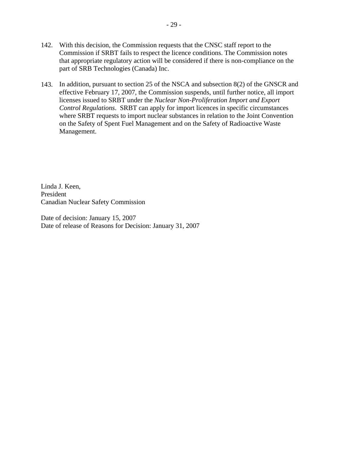- 142. With this decision, the Commission requests that the CNSC staff report to the Commission if SRBT fails to respect the licence conditions. The Commission notes that appropriate regulatory action will be considered if there is non-compliance on the part of SRB Technologies (Canada) Inc.
- 143. In addition, pursuant to section 25 of the NSCA and subsection 8(2) of the GNSCR and effective February 17, 2007, the Commission suspends, until further notice, all import licenses issued to SRBT under the *Nuclear Non-Proliferation Import and Export Control Regulations*. SRBT can apply for import licences in specific circumstances where SRBT requests to import nuclear substances in relation to the Joint Convention on the Safety of Spent Fuel Management and on the Safety of Radioactive Waste Management.

Linda J. Keen, President Canadian Nuclear Safety Commission

Date of decision: January 15, 2007 Date of release of Reasons for Decision: January 31, 2007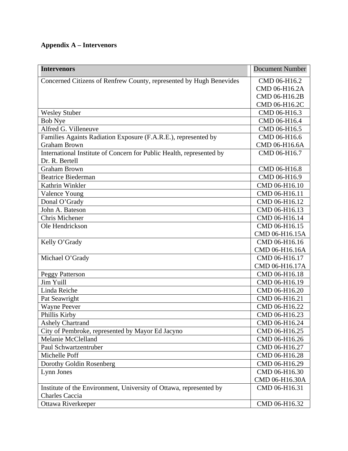# **Appendix A – Intervenors**

| <b>Intervenors</b>                                                   | <b>Document Number</b> |
|----------------------------------------------------------------------|------------------------|
| Concerned Citizens of Renfrew County, represented by Hugh Benevides  | CMD 06-H16.2           |
|                                                                      | CMD 06-H16.2A          |
|                                                                      | CMD 06-H16.2B          |
|                                                                      | CMD 06-H16.2C          |
| <b>Wesley Stuber</b>                                                 | CMD 06-H16.3           |
| <b>Bob Nye</b>                                                       | CMD 06-H16.4           |
| Alfred G. Villeneuve                                                 | CMD 06-H16.5           |
| Families Againts Radiation Exposure (F.A.R.E.), represented by       | CMD 06-H16.6           |
| <b>Graham Brown</b>                                                  | CMD 06-H16.6A          |
| International Institute of Concern for Public Health, represented by | CMD 06-H16.7           |
| Dr. R. Bertell                                                       |                        |
| <b>Graham Brown</b>                                                  | CMD 06-H16.8           |
| <b>Beatrice Biederman</b>                                            | CMD 06-H16.9           |
| Kathrin Winkler                                                      | CMD 06-H16.10          |
| Valence Young                                                        | CMD 06-H16.11          |
| Donal O'Grady                                                        | CMD 06-H16.12          |
| John A. Bateson                                                      | CMD 06-H16.13          |
| Chris Michener                                                       | CMD 06-H16.14          |
| Ole Hendrickson                                                      | CMD 06-H16.15          |
|                                                                      | CMD 06-H16.15A         |
| Kelly O'Grady                                                        | CMD 06-H16.16          |
|                                                                      | CMD 06-H16.16A         |
| Michael O'Grady                                                      | CMD 06-H16.17          |
|                                                                      | CMD 06-H16.17A         |
| <b>Peggy Patterson</b>                                               | CMD 06-H16.18          |
| Jim Yuill                                                            | CMD 06-H16.19          |
| Linda Reiche                                                         | CMD 06-H16.20          |
| Pat Seawright                                                        | CMD 06-H16.21          |
| <b>Wayne Peever</b>                                                  | CMD 06-H16.22          |
| Phillis Kirby                                                        | CMD 06-H16.23          |
| <b>Ashely Chartrand</b>                                              | CMD 06-H16.24          |
| City of Pembroke, represented by Mayor Ed Jacyno                     | CMD 06-H16.25          |
| Melanie McClelland                                                   | CMD 06-H16.26          |
| Paul Schwartzentruber                                                | CMD 06-H16.27          |
| Michelle Poff                                                        | CMD 06-H16.28          |
| Dorothy Goldin Rosenberg                                             | CMD 06-H16.29          |
| Lynn Jones                                                           | CMD 06-H16.30          |
|                                                                      | CMD 06-H16.30A         |
| Institute of the Environment, University of Ottawa, represented by   | CMD 06-H16.31          |
| <b>Charles Caccia</b>                                                |                        |
| Ottawa Riverkeeper                                                   | CMD 06-H16.32          |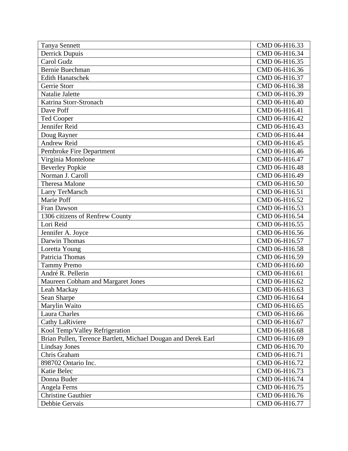| <b>Tanya Sennett</b>                                          | CMD 06-H16.33 |
|---------------------------------------------------------------|---------------|
| <b>Derrick Dupuis</b>                                         | CMD 06-H16.34 |
| Carol Gudz                                                    | CMD 06-H16.35 |
| <b>Bernie Buechman</b>                                        | CMD 06-H16.36 |
| <b>Edith Hanatschek</b>                                       | CMD 06-H16.37 |
| Gerrie Storr                                                  | CMD 06-H16.38 |
| Natalie Jalette                                               | CMD 06-H16.39 |
| Katrina Storr-Stronach                                        | CMD 06-H16.40 |
| Dave Poff                                                     | CMD 06-H16.41 |
| <b>Ted Cooper</b>                                             | CMD 06-H16.42 |
| Jennifer Reid                                                 | CMD 06-H16.43 |
| Doug Rayner                                                   | CMD 06-H16.44 |
| <b>Andrew Reid</b>                                            | CMD 06-H16.45 |
| Pembroke Fire Department                                      | CMD 06-H16.46 |
| Virginia Montelone                                            | CMD 06-H16.47 |
| <b>Beverley Popkie</b>                                        | CMD 06-H16.48 |
| Norman J. Caroll                                              | CMD 06-H16.49 |
| Theresa Malone                                                | CMD 06-H16.50 |
| Larry TerMarsch                                               | CMD 06-H16.51 |
| Marie Poff                                                    | CMD 06-H16.52 |
| Fran Dawson                                                   | CMD 06-H16.53 |
| 1306 citizens of Renfrew County                               | CMD 06-H16.54 |
| Lori Reid                                                     | CMD 06-H16.55 |
| Jennifer A. Joyce                                             | CMD 06-H16.56 |
| Darwin Thomas                                                 | CMD 06-H16.57 |
| Loretta Young                                                 | CMD 06-H16.58 |
| Patricia Thomas                                               | CMD 06-H16.59 |
| <b>Tammy Premo</b>                                            | CMD 06-H16.60 |
| André R. Pellerin                                             | CMD 06-H16.61 |
| Maureen Cobham and Margaret Jones                             | CMD 06-H16.62 |
| Leah Mackay                                                   | CMD 06-H16.63 |
| Sean Sharpe                                                   | CMD 06-H16.64 |
| Marylin Waito                                                 | CMD 06-H16.65 |
| Laura Charles                                                 | CMD 06-H16.66 |
| Cathy LaRiviere                                               | CMD 06-H16.67 |
| Kool Temp/Valley Refrigeration                                | CMD 06-H16.68 |
| Brian Pullen, Terence Bartlett, Michael Dougan and Derek Earl | CMD 06-H16.69 |
| <b>Lindsay Jones</b>                                          | CMD 06-H16.70 |
| Chris Graham                                                  | CMD 06-H16.71 |
| 898702 Ontario Inc.                                           | CMD 06-H16.72 |
| Katie Belec                                                   | CMD 06-H16.73 |
| Donna Buder                                                   | CMD 06-H16.74 |
| Angela Ferns                                                  | CMD 06-H16.75 |
| <b>Christine Gauthier</b>                                     | CMD 06-H16.76 |
| Debbie Gervais                                                | CMD 06-H16.77 |